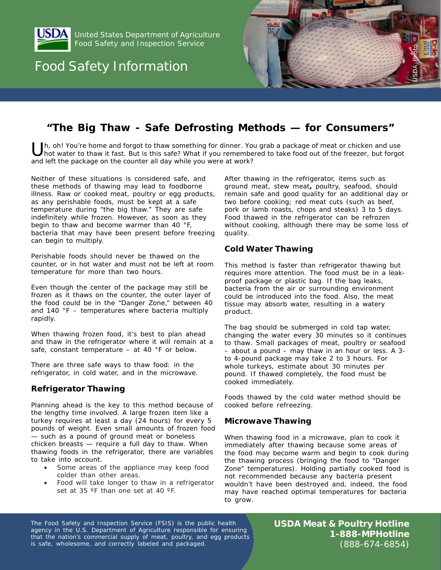

United States Department of Agriculture Food Safety and Inspection Service

# Food Safety Information



## **"The Big Thaw - Safe Defrosting Methods — for Consumers"**

*Un, oh! You're home and forgot to thaw something for dinner. You grab a package of meat or chicken and use hot water to thaw it fast. But is this safe? What if you remembered to take food out of the freezer, but forgot and left the package on the counter all day while you were at work?*

Neither of these situations is considered safe, and these methods of thawing may lead to foodborne illness. Raw or cooked meat, poultry or egg products, as any perishable foods, must be kept at a safe temperature during "the big thaw." They are safe indefinitely while frozen. However, as soon as they begin to thaw and become warmer than 40 °F, bacteria that may have been present before freezing can begin to multiply.

Perishable foods should never be thawed on the counter, or in hot water and must not be left at room temperature for more than two hours.

Even though the center of the package may still be frozen as it thaws on the counter, the outer layer of the food could be in the "Danger Zone," between 40 and 140 °F – temperatures where bacteria multiply rapidly.

When thawing frozen food, it's best to plan ahead and thaw in the refrigerator where it will remain at a safe, constant temperature  $-$  at 40 °F or below.

There are three safe ways to thaw food: in the refrigerator, in cold water, and in the microwave.

### **Refrigerator Thawing**

Planning ahead is the key to this method because of the lengthy time involved. A large frozen item like a turkey requires at least a day (24 hours) for every 5 pounds of weight. Even small amounts of frozen food — such as a pound of ground meat or boneless chicken breasts — require a full day to thaw. When thawing foods in the refrigerator, there are variables to take into account.

- Some areas of the appliance may keep food colder than other areas.
- Food will take longer to thaw in a refrigerator set at 35 ºF than one set at 40 ºF.

After thawing in the refrigerator, items such as ground meat, stew meat*,* poultry, seafood, should remain safe and good quality for an additional day or two before cooking; red meat cuts (such as beef, pork or lamb roasts, chops and steaks) 3 to 5 days. Food thawed in the refrigerator can be refrozen without cooking, although there may be some loss of quality.

#### **Cold Water Thawing**

This method is faster than refrigerator thawing but requires more attention. The food must be in a leakproof package or plastic bag. If the bag leaks, bacteria from the air or surrounding environment could be introduced into the food. Also, the meat tissue may absorb water, resulting in a watery product.

The bag should be submerged in cold tap water, changing the water every 30 minutes so it continues to thaw. Small packages of meat, poultry or seafood – about a pound – may thaw in an hour or less. A 3 to 4-pound package may take 2 to 3 hours. For whole turkeys, estimate about 30 minutes per pound. If thawed completely, the food must be cooked immediately.

Foods thawed by the cold water method should be cooked before refreezing.

#### **Microwave Thawing**

When thawing food in a microwave, plan to cook it immediately after thawing because some areas of the food may become warm and begin to cook during the thawing process (bringing the food to "Danger Zone" temperatures). Holding partially cooked food is not recommended because any bacteria present wouldn't have been destroyed and, indeed, the food may have reached optimal temperatures for bacteria to grow.

The Food Safety and Inspection Service (FSIS) is the public health agency in the U.S. Department of Agriculture responsible for ensuring that the nation's commercial supply of meat, poultry, and egg products is safe, wholesome, and correctly labeled and packaged.

**USDA Meat & Poultry Hotline 1-888-MPHotline** (888-674-6854)